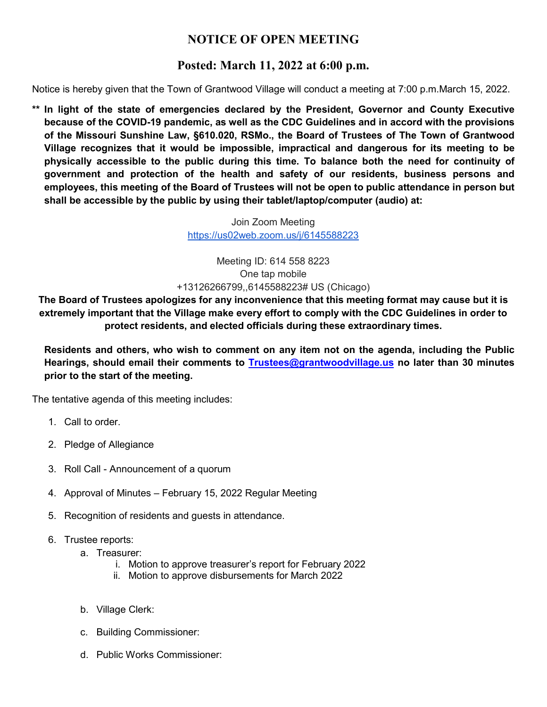## **NOTICE OF OPEN MEETING**

## **Posted: March 11, 2022 at 6:00 p.m.**

Notice is hereby given that the Town of Grantwood Village will conduct a meeting at 7:00 p.m.March 15, 2022.

**\*\* In light of the state of emergencies declared by the President, Governor and County Executive because of the COVID-19 pandemic, as well as the CDC Guidelines and in accord with the provisions of the Missouri Sunshine Law, §610.020, RSMo., the Board of Trustees of The Town of Grantwood Village recognizes that it would be impossible, impractical and dangerous for its meeting to be physically accessible to the public during this time. To balance both the need for continuity of government and protection of the health and safety of our residents, business persons and employees, this meeting of the Board of Trustees will not be open to public attendance in person but shall be accessible by the public by using their tablet/laptop/computer (audio) at:**

> Join Zoom Meeting <https://us02web.zoom.us/j/6145588223>

Meeting ID: 614 558 8223 One tap mobile +13126266799,,6145588223# US (Chicago)

**The Board of Trustees apologizes for any inconvenience that this meeting format may cause but it is extremely important that the Village make every effort to comply with the CDC Guidelines in order to protect residents, and elected officials during these extraordinary times.**

**Residents and others, who wish to comment on any item not on the agenda, including the Public Hearings, should email their comments to [Trustees@grantwoodvillage.us](mailto:Trustees@grantwoodvillage.us) no later than 30 minutes prior to the start of the meeting.** 

The tentative agenda of this meeting includes:

- 1. Call to order.
- 2. Pledge of Allegiance
- 3. Roll Call Announcement of a quorum
- 4. Approval of Minutes February 15, 2022 Regular Meeting
- 5. Recognition of residents and guests in attendance.
- 6. Trustee reports:
	- a. Treasurer:
		- i. Motion to approve treasurer's report for February 2022
		- ii. Motion to approve disbursements for March 2022
	- b. Village Clerk:
	- c. Building Commissioner:
	- d. Public Works Commissioner: